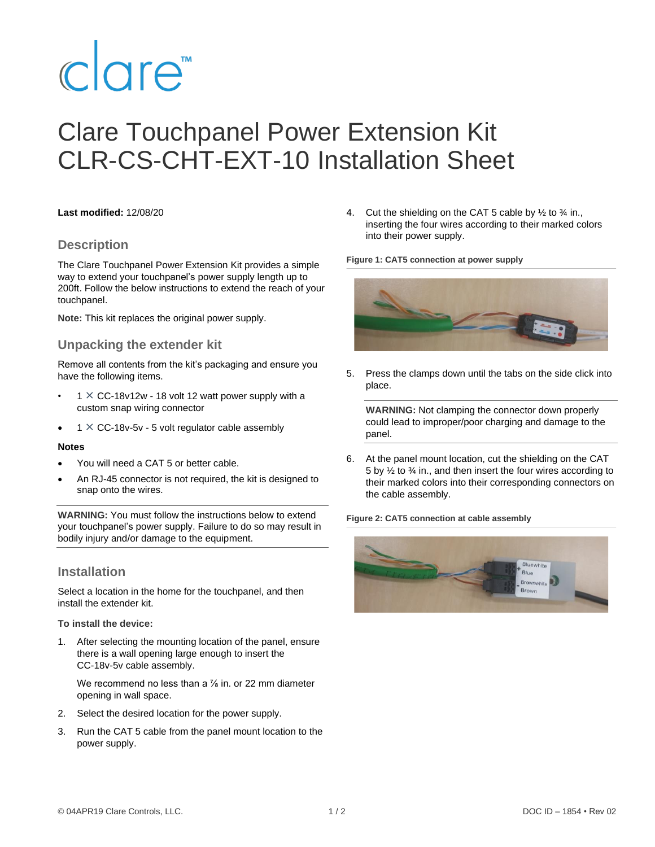# clare<sup>"</sup>

# Clare Touchpanel Power Extension Kit CLR-CS-CHT-EXT-10 Installation Sheet

#### **Last modified:** 12/08/20

#### **Description**

The Clare Touchpanel Power Extension Kit provides a simple way to extend your touchpanel's power supply length up to 200ft. Follow the below instructions to extend the reach of your touchpanel.

**Note:** This kit replaces the original power supply.

#### **Unpacking the extender kit**

Remove all contents from the kit's packaging and ensure you have the following items.

- $1 \times CC$ -18v12w 18 volt 12 watt power supply with a custom snap wiring connector
- $1 \times CC$ -18v-5v 5 volt regulator cable assembly

#### **Notes**

- You will need a CAT 5 or better cable.
- An RJ-45 connector is not required, the kit is designed to snap onto the wires.

**WARNING:** You must follow the instructions below to extend your touchpanel's power supply. Failure to do so may result in bodily injury and/or damage to the equipment.

#### **Installation**

Select a location in the home for the touchpanel, and then install the extender kit.

**To install the device:**

1. After selecting the mounting location of the panel, ensure there is a wall opening large enough to insert the CC-18v-5v cable assembly.

We recommend no less than a  $\frac{7}{8}$  in. or 22 mm diameter opening in wall space.

- 2. Select the desired location for the power supply.
- 3. Run the CAT 5 cable from the panel mount location to the power supply.

4. Cut the shielding on the CAT 5 cable by  $\frac{1}{2}$  to  $\frac{3}{4}$  in., inserting the four wires according to their marked colors into their power supply.

**Figure 1: CAT5 connection at power supply**



5. Press the clamps down until the tabs on the side click into place.

**WARNING:** Not clamping the connector down properly could lead to improper/poor charging and damage to the panel.

6. At the panel mount location, cut the shielding on the CAT 5 by ½ to ¾ in., and then insert the four wires according to their marked colors into their corresponding connectors on the cable assembly.

**Figure 2: CAT5 connection at cable assembly**